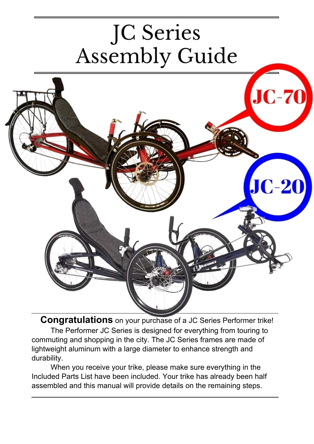# JC Series **Assembly Guide**



**Congratulations** on your purchase of a JC Series Performer trike! The Performer JC Series is designed for everything from touring to commuting and shopping in the city. The JC Series frames are made of lightweight aluminum with a large diameter to enhance strength and durability.

When you receive your trike, please make sure everything in the Included Parts List have been included. Your trike has already been half assembled and this manual will provide details on the remaining steps.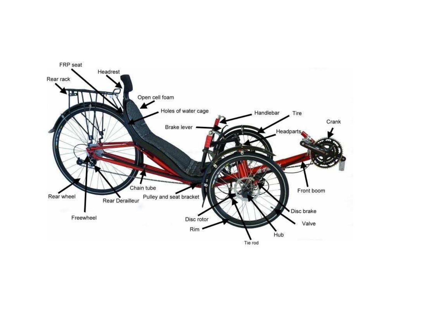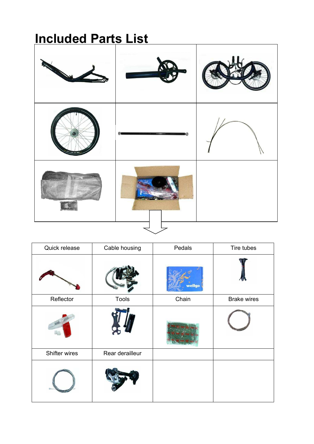### **Included Parts List**



| Quick release | Cable housing   | Pedals | Tire tubes         |
|---------------|-----------------|--------|--------------------|
|               |                 | wellgo |                    |
| Reflector     | <b>Tools</b>    | Chain  | <b>Brake wires</b> |
|               |                 |        |                    |
| Shifter wires | Rear derailleur |        |                    |
|               |                 |        |                    |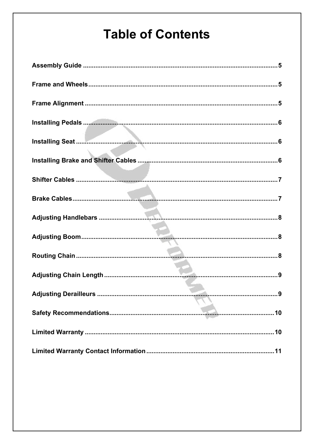### **Table of Contents**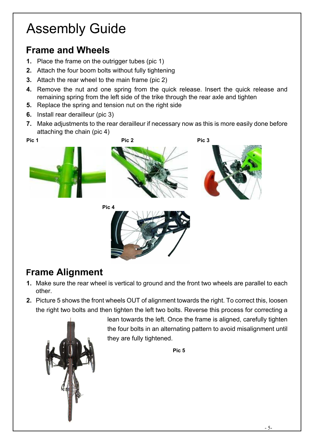# Assembly Guide

#### **Frame and Wheels**

- **1.** Place the frame on the outrigger tubes (pic 1)
- **2.** Attach the four boom bolts without fully tightening
- **3.** Attach the rear wheel to the main frame (pic 2)
- **4.** Remove the nut and one spring from the quick release. Insert the quick release and remaining spring from the left side of the trike through the rear axle and tighten
- **5.** Replace the spring and tension nut on the right side
- **6.** Install rear derailleur (pic 3)
- **7.** Make adjustments to the rear derailleur if necessary now as this is more easily done before attaching the chain (pic 4)



#### **Frame Alignment**

- **1.** Make sure the rear wheel is vertical to ground and the front two wheels are parallel to each other.
- **2.** Picture 5 shows the front wheels OUT of alignment towards the right. To correct this, loosen the right two bolts and then tighten the left two bolts. Reverse this process for correcting a



lean towards the left. Once the frame is aligned, carefully tighten the four bolts in an alternating pattern to avoid misalignment until they are fully tightened.

**Pic 5**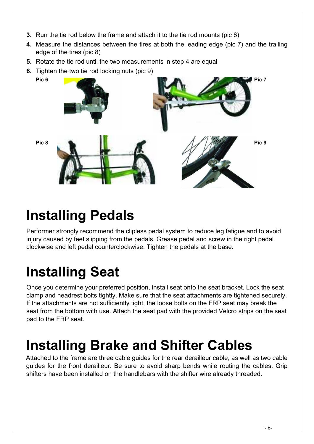- **3.** Run the tie rod below the frame and attach it to the tie rod mounts (pic 6)
- **4.** Measure the distances between the tires at both the leading edge (pic 7) and the trailing edge of the tires (pic 8)
- **5.** Rotate the tie rod until the two measurements in step 4 are equal
- **6.** Tighten the two tie rod locking nuts (pic 9)



### **Installing Pedals**

Performer strongly recommend the clipless pedal system to reduce leg fatigue and to avoid injury caused by feet slipping from the pedals. Grease pedal and screw in the right pedal clockwise and left pedal counterclockwise. Tighten the pedals at the base.

# **Installing Seat**

Once you determine your preferred position, install seat onto the seat bracket. Lock the seat clamp and headrest bolts tightly. Make sure that the seat attachments are tightened securely. If the attachments are not sufficiently tight, the loose bolts on the FRP seat may break the seat from the bottom with use. Attach the seat pad with the provided Velcro strips on the seat pad to the FRP seat.

### **Installing Brake and Shifter Cables**

Attached to the frame are three cable guides for the rear derailleur cable, as well as two cable guides for the front derailleur. Be sure to avoid sharp bends while routing the cables. Grip shifters have been installed on the handlebars with the shifter wire already threaded.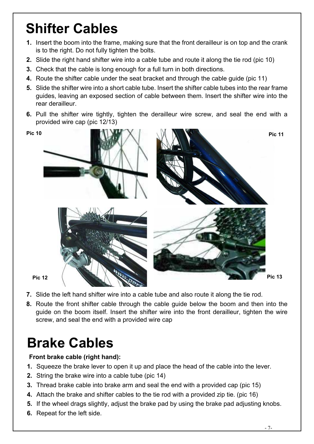# **Shifter Cables**

- **1.** Insert the boom into the frame, making sure that the front derailleur is on top and the crank is to the right. Do not fully tighten the bolts.
- **2.** Slide the right hand shifter wire into a cable tube and route it along the tie rod (pic 10)
- **3.** Check that the cable is long enough for a full turn in both directions.
- **4.** Route the shifter cable under the seat bracket and through the cable guide (pic 11)
- **5.** Slide the shifter wire into a short cable tube. Insert the shifter cable tubes into the rear frame guides, leaving an exposed section of cable between them. Insert the shifter wire into the rear derailleur.
- **6.** Pull the shifter wire tightly, tighten the derailleur wire screw, and seal the end with a provided wire cap (pic 12/13)



- **7.** Slide the left hand shifter wire into a cable tube and also route it along the tie rod.
- **8.** Route the front shifter cable through the cable guide below the boom and then into the guide on the boom itself. Insert the shifter wire into the front derailleur, tighten the wire screw, and seal the end with a provided wire cap

### **Brake Cables**

#### **Front brake cable (right hand):**

- **1.** Squeeze the brake lever to open it up and place the head of the cable into the lever.
- **2.** String the brake wire into a cable tube (pic 14)
- **3.** Thread brake cable into brake arm and seal the end with a provided cap (pic 15)
- **4.** Attach the brake and shifter cables to the tie rod with a provided zip tie. (pic 16)
- **5.** If the wheel drags slightly, adjust the brake pad by using the brake pad adjusting knobs.
- **6.** Repeat for the left side.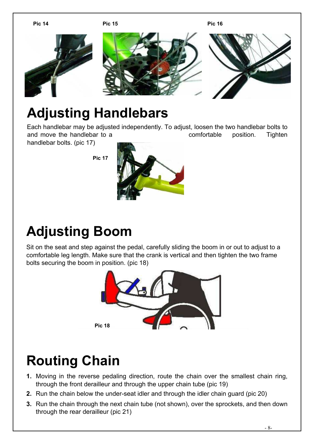

### **Adjusting Handlebars**

Each handlebar may be adjusted independently. To adjust, loosen the two handlebar bolts to and move the handlebar to a comfortable position. Tighten

handlebar bolts. (pic 17)

**Pic 17** 



# **Adjusting Boom**

Sit on the seat and step against the pedal, carefully sliding the boom in or out to adjust to a comfortable leg length. Make sure that the crank is vertical and then tighten the two frame bolts securing the boom in position. (pic 18)



# **Routing Chain**

- **1.** Moving in the reverse pedaling direction, route the chain over the smallest chain ring, through the front derailleur and through the upper chain tube (pic 19)
- **2.** Run the chain below the under-seat idler and through the idler chain guard (pic 20)
- **3.** Run the chain through the next chain tube (not shown), over the sprockets, and then down through the rear derailleur (pic 21)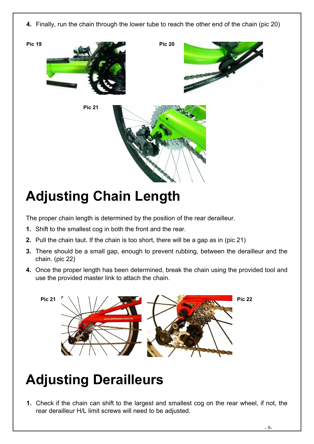**4.** Finally, run the chain through the lower tube to reach the other end of the chain (pic 20)







# **Adjusting Chain Length**

The proper chain length is determined by the position of the rear derailleur.

- **1.** Shift to the smallest cog in both the front and the rear.
- **2.** Pull the chain taut. If the chain is too short, there will be a gap as in (pic 21)
- **3.** There should be a small gap, enough to prevent rubbing, between the derailleur and the chain. (pic 22)
- **4.** Once the proper length has been determined, break the chain using the provided tool and use the provided master link to attach the chain.



# **Adjusting Derailleurs**

**1.** Check if the chain can shift to the largest and smallest cog on the rear wheel, if not, the rear derailleur H/L limit screws will need to be adjusted.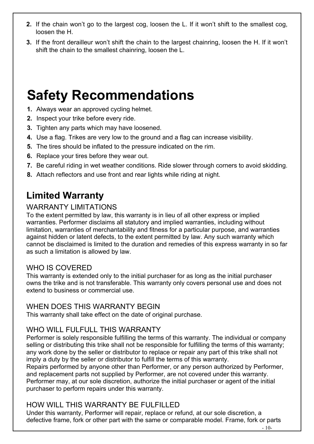- **2.** If the chain won't go to the largest cog, loosen the L. If it won't shift to the smallest cog, loosen the H.
- **3.** If the front derailleur won't shift the chain to the largest chainring, loosen the H. If it won't shift the chain to the smallest chainring, loosen the L.

### **Safety Recommendations**

- **1.** Always wear an approved cycling helmet.
- **2.** Inspect your trike before every ride.
- **3.** Tighten any parts which may have loosened.
- **4.** Use a flag. Trikes are very low to the ground and a flag can increase visibility.
- **5.** The tires should be inflated to the pressure indicated on the rim.
- **6.** Replace your tires before they wear out.
- **7.** Be careful riding in wet weather conditions. Ride slower through corners to avoid skidding.
- **8.** Attach reflectors and use front and rear lights while riding at night.

#### **Limited Warranty**

#### WARRANTY LIMITATIONS

To the extent permitted by law, this warranty is in lieu of all other express or implied warranties. Performer disclaims all statutory and implied warranties, including without limitation, warranties of merchantability and fitness for a particular purpose, and warranties against hidden or latent defects, to the extent permitted by law. Any such warranty which cannot be disclaimed is limited to the duration and remedies of this express warranty in so far as such a limitation is allowed by law.

#### WHO IS COVERED

This warranty is extended only to the initial purchaser for as long as the initial purchaser owns the trike and is not transferable. This warranty only covers personal use and does not extend to business or commercial use.

#### WHEN DOES THIS WARRANTY BEGIN

This warranty shall take effect on the date of original purchase.

#### WHO WILL FULFULL THIS WARRANTY

Performer is solely responsible fulfilling the terms of this warranty. The individual or company selling or distributing this trike shall not be responsible for fulfilling the terms of this warranty; any work done by the seller or distributor to replace or repair any part of this trike shall not imply a duty by the seller or distributor to fulfill the terms of this warranty.

Repairs performed by anyone other than Performer, or any person authorized by Performer, and replacement parts not supplied by Performer, are not covered under this warranty. Performer may, at our sole discretion, authorize the initial purchaser or agent of the initial purchaser to perform repairs under this warranty.

#### HOW WILL THIS WARRANTY BE FULFILLED

Under this warranty, Performer will repair, replace or refund, at our sole discretion, a defective frame, fork or other part with the same or comparable model. Frame, fork or parts